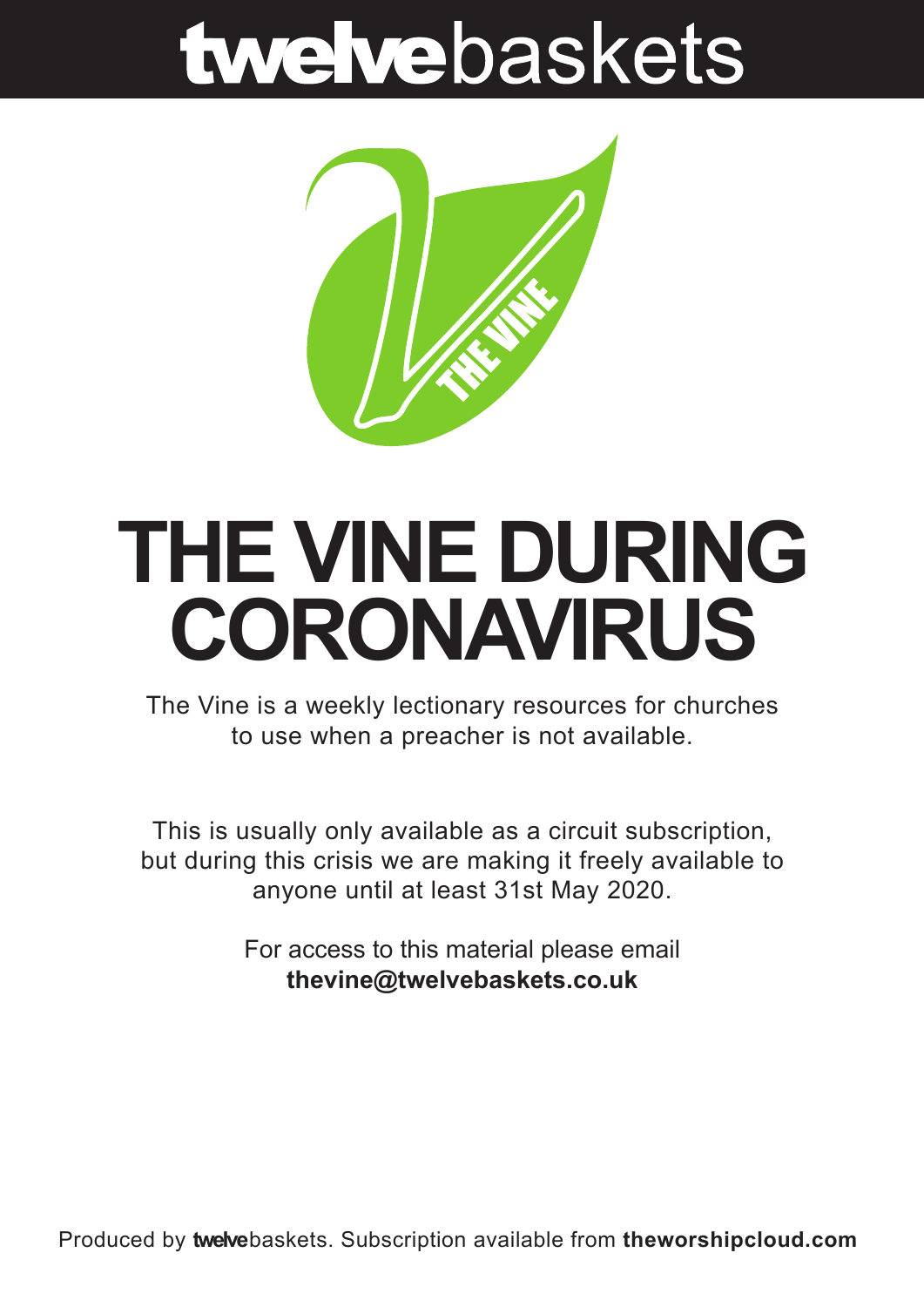# twelvebaskets



### **THE VINE DURING CORONAVIRUS**

The Vine is a weekly lectionary resources for churches to use when a preacher is not available.

This is usually only available as a circuit subscription, but during this crisis we are making it freely available to anyone until at least 31st May 2020.

> For access to this material please email **thevine@twelvebaskets.co.uk**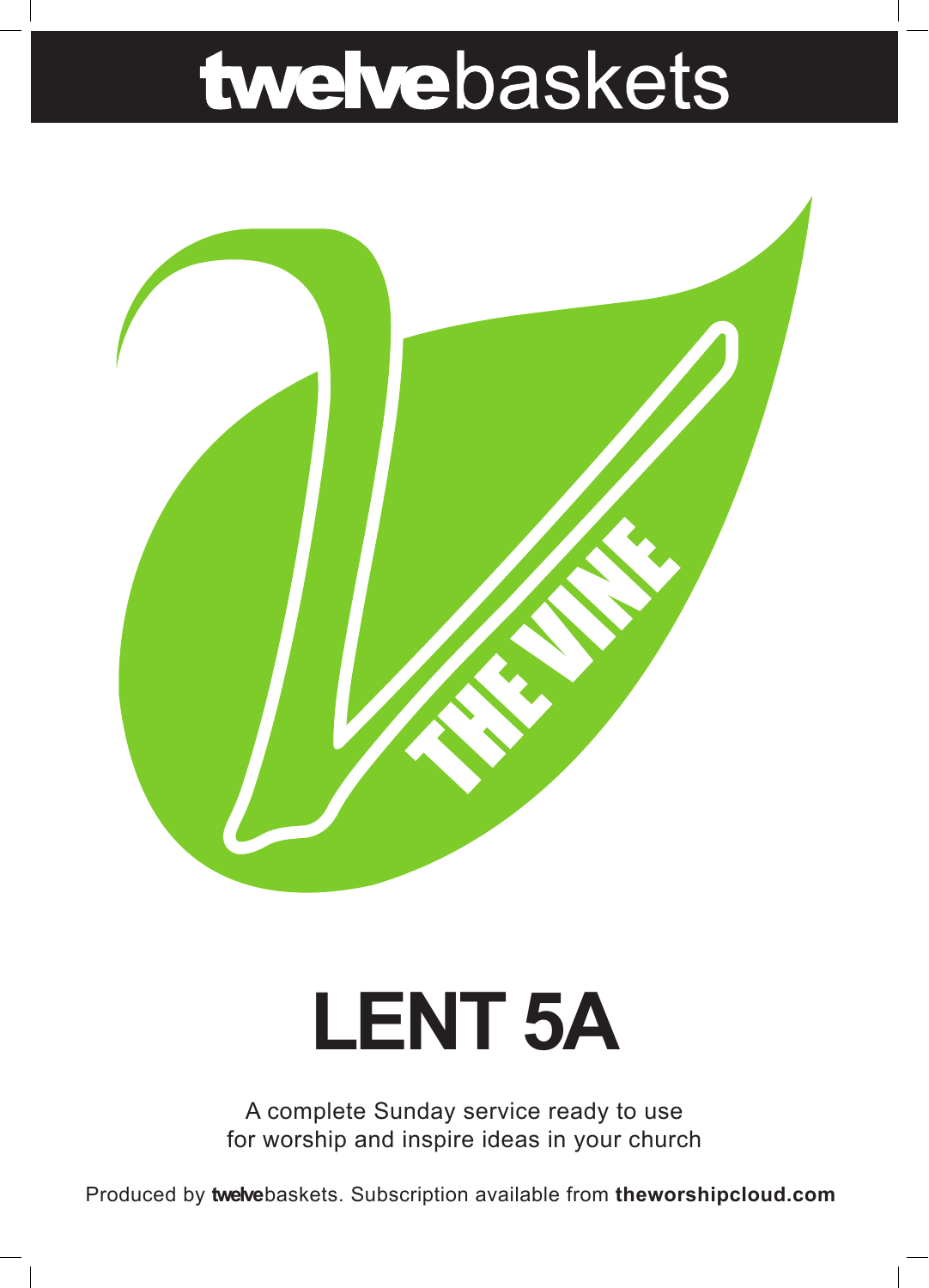# twelvebaskets



# **LENT 5A**

A complete Sunday service ready to use for worship and inspire ideas in your church

Produced by **twelve**baskets. Subscription available from **theworshipcloud.com**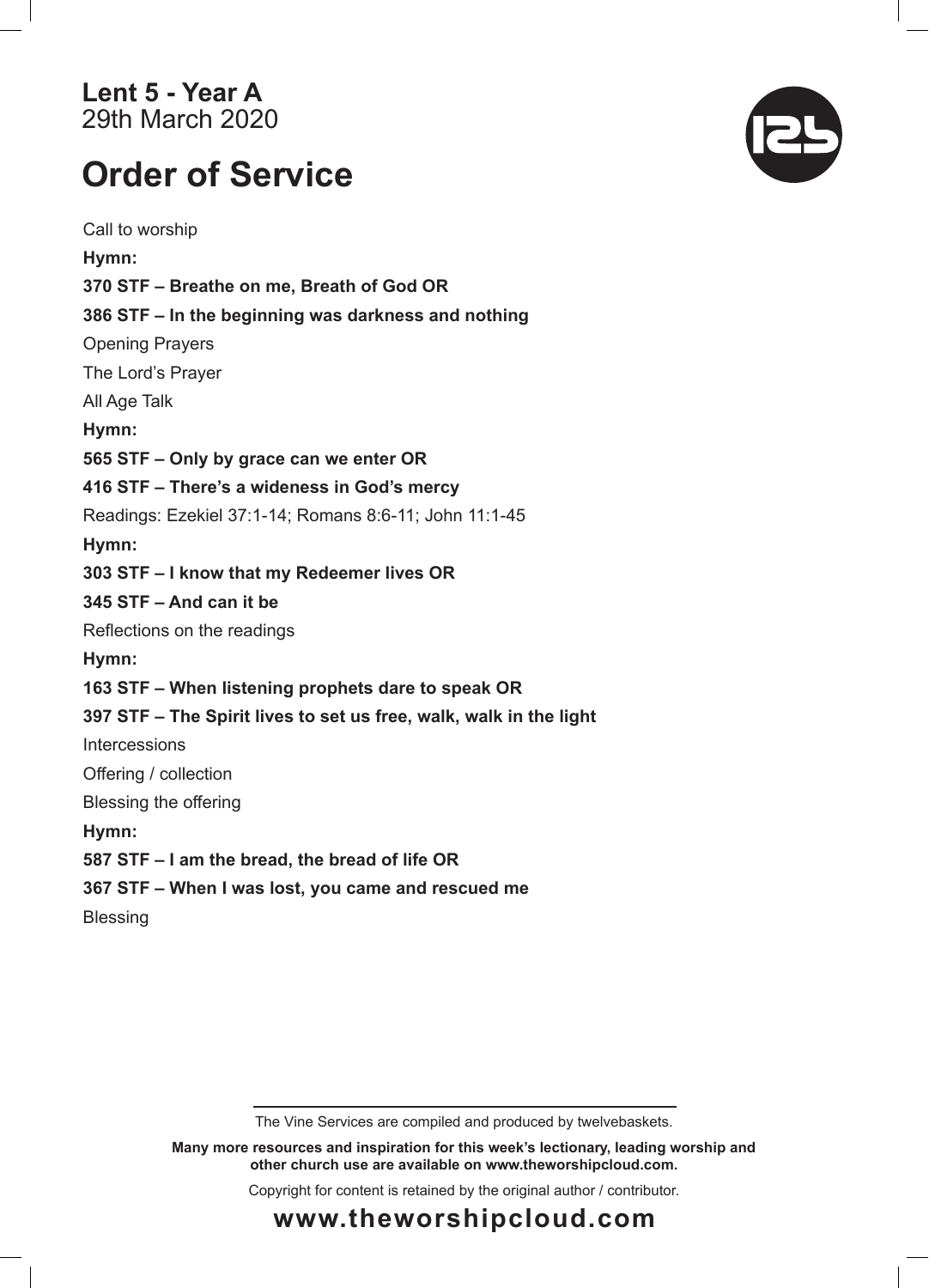### **Lent 5 - Year A**  29th March 2020

### **Order of Service**

Call to worship **Hymn: 370 STF – Breathe on me, Breath of God OR 386 STF – In the beginning was darkness and nothing** Opening Prayers The Lord's Prayer All Age Talk **Hymn: 565 STF – Only by grace can we enter OR 416 STF – There's a wideness in God's mercy** Readings: Ezekiel 37:1-14; Romans 8:6-11; John 11:1-45 **Hymn: 303 STF – I know that my Redeemer lives OR 345 STF – And can it be** Reflections on the readings **Hymn: 163 STF – When listening prophets dare to speak OR 397 STF – The Spirit lives to set us free, walk, walk in the light** Intercessions Offering / collection Blessing the offering **Hymn: 587 STF – I am the bread, the bread of life OR 367 STF – When I was lost, you came and rescued me Blessing** 



**Many more resources and inspiration for this week's lectionary, leading worship and other church use are available on www.theworshipcloud.com.**

Copyright for content is retained by the original author / contributor.



### **www.theworshipcloud.com**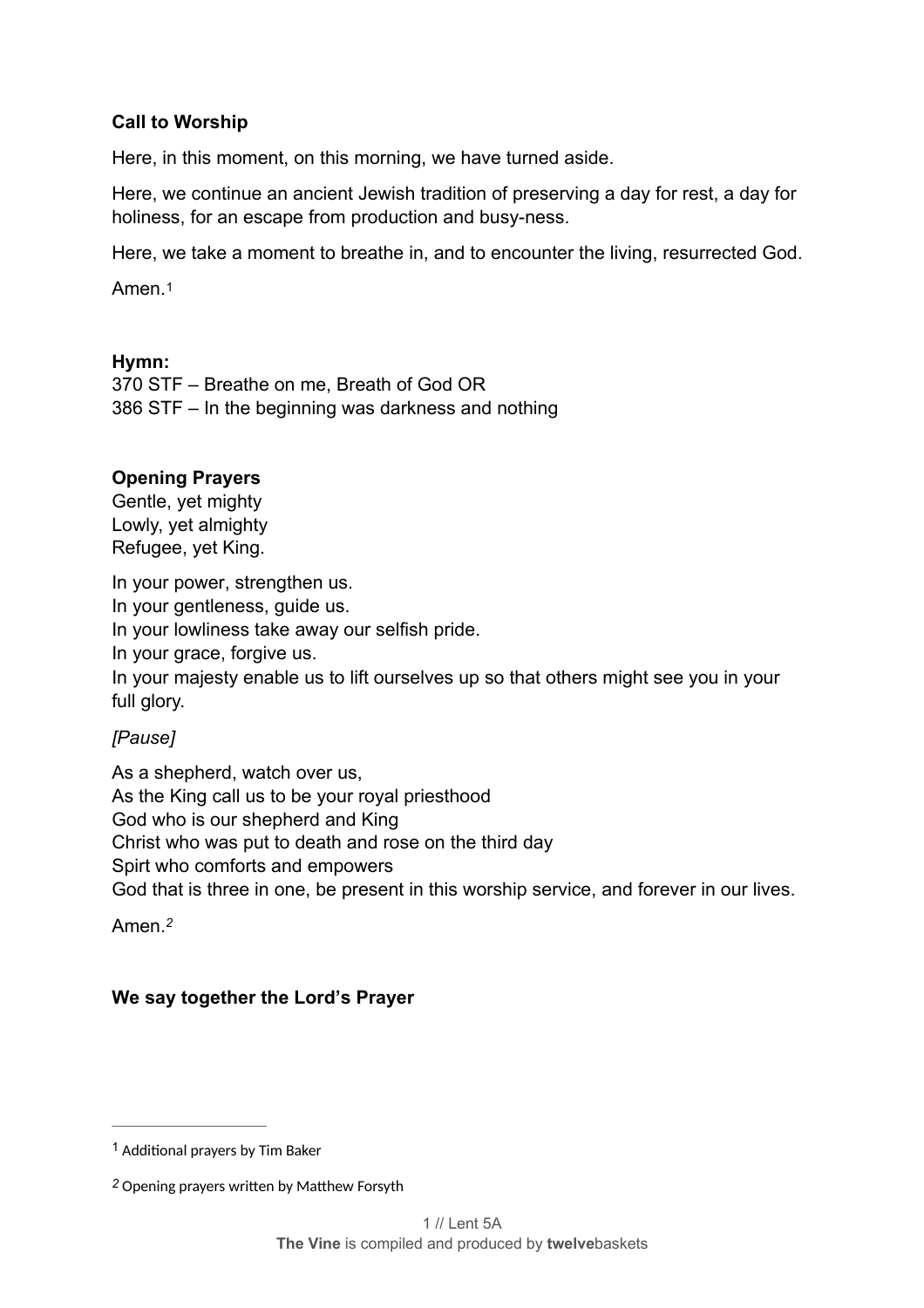#### **Call to Worship**

Here, in this moment, on this morning, we have turned aside.

Here, we continue an ancient Jewish tradition of preserving a day for rest, a day for holiness, for an escape from production and busy-ness.

Here, we take a moment to breathe in, and to encounter the living, resurrected God.

<span id="page-3-2"></span>Amen<sub>[1](#page-3-0)</sub>

#### **Hymn:**

370 STF – Breathe on me, Breath of God OR 386 STF – In the beginning was darkness and nothing

#### **Opening Prayers**

Gentle, yet mighty Lowly, yet almighty Refugee, yet King.

In your power, strengthen us. In your gentleness, guide us. In your lowliness take away our selfish pride. In your grace, forgive us. In your majesty enable us to lift ourselves up so that others might see you in your full glory.

#### *[Pause]*

As a shepherd, watch over us, As the King call us to be your royal priesthood God who is our shepherd and King Christ who was put to death and rose on the third day Spirt who comforts and empowers God that is three in one, be present in this worship service, and forever in our lives.

<span id="page-3-3"></span>Amen.*[2](#page-3-1)*

#### **We say together the Lord's Prayer**

<span id="page-3-0"></span> $1$  Additional prayers by Tim Baker

<span id="page-3-1"></span>[<sup>2</sup>](#page-3-3) Opening prayers written by Matthew Forsyth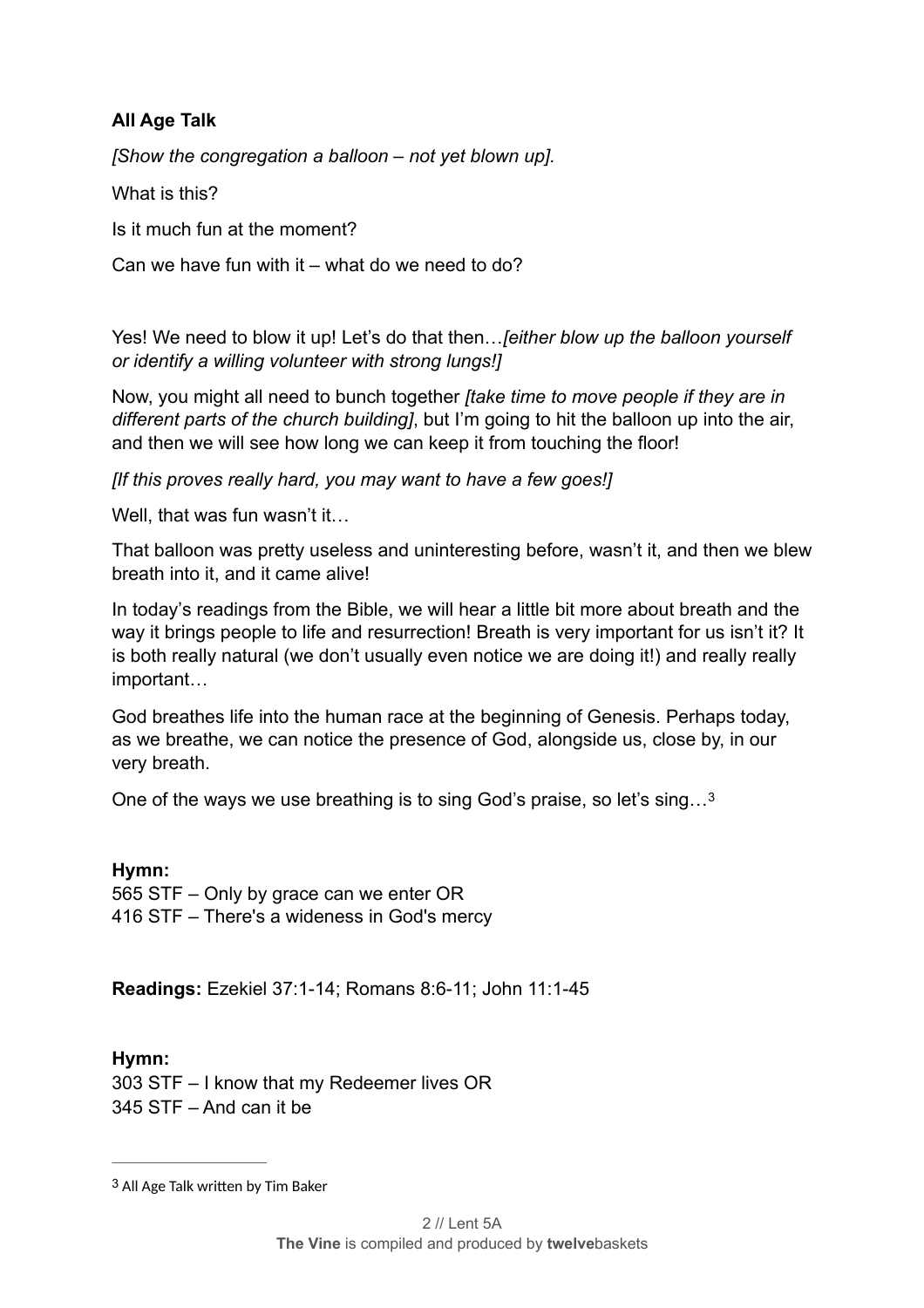#### **All Age Talk**

*[Show the congregation a balloon – not yet blown up].* 

What is this?

Is it much fun at the moment?

Can we have fun with it – what do we need to do?

Yes! We need to blow it up! Let's do that then…*[either blow up the balloon yourself or identify a willing volunteer with strong lungs!]* 

Now, you might all need to bunch together *[take time to move people if they are in different parts of the church building]*, but I'm going to hit the balloon up into the air, and then we will see how long we can keep it from touching the floor!

*[If this proves really hard, you may want to have a few goes!]* 

Well, that was fun wasn't it...

That balloon was pretty useless and uninteresting before, wasn't it, and then we blew breath into it, and it came alive!

In today's readings from the Bible, we will hear a little bit more about breath and the way it brings people to life and resurrection! Breath is very important for us isn't it? It is both really natural (we don't usually even notice we are doing it!) and really really important…

God breathes life into the human race at the beginning of Genesis. Perhaps today, as we breathe, we can notice the presence of God, alongside us, close by, in our very breath.

<span id="page-4-1"></span>One of the ways we use breathing is to sing God's praise, so let's sing…[3](#page-4-0)

**Hymn:**  565 STF – Only by grace can we enter OR 416 STF – There's a wideness in God's mercy

**Readings:** Ezekiel 37:1-14; Romans 8:6-11; John 11:1-45

**Hymn:**  303 STF – I know that my Redeemer lives OR 345 STF – And can it be

<span id="page-4-0"></span>[<sup>3</sup>](#page-4-1) All Age Talk written by Tim Baker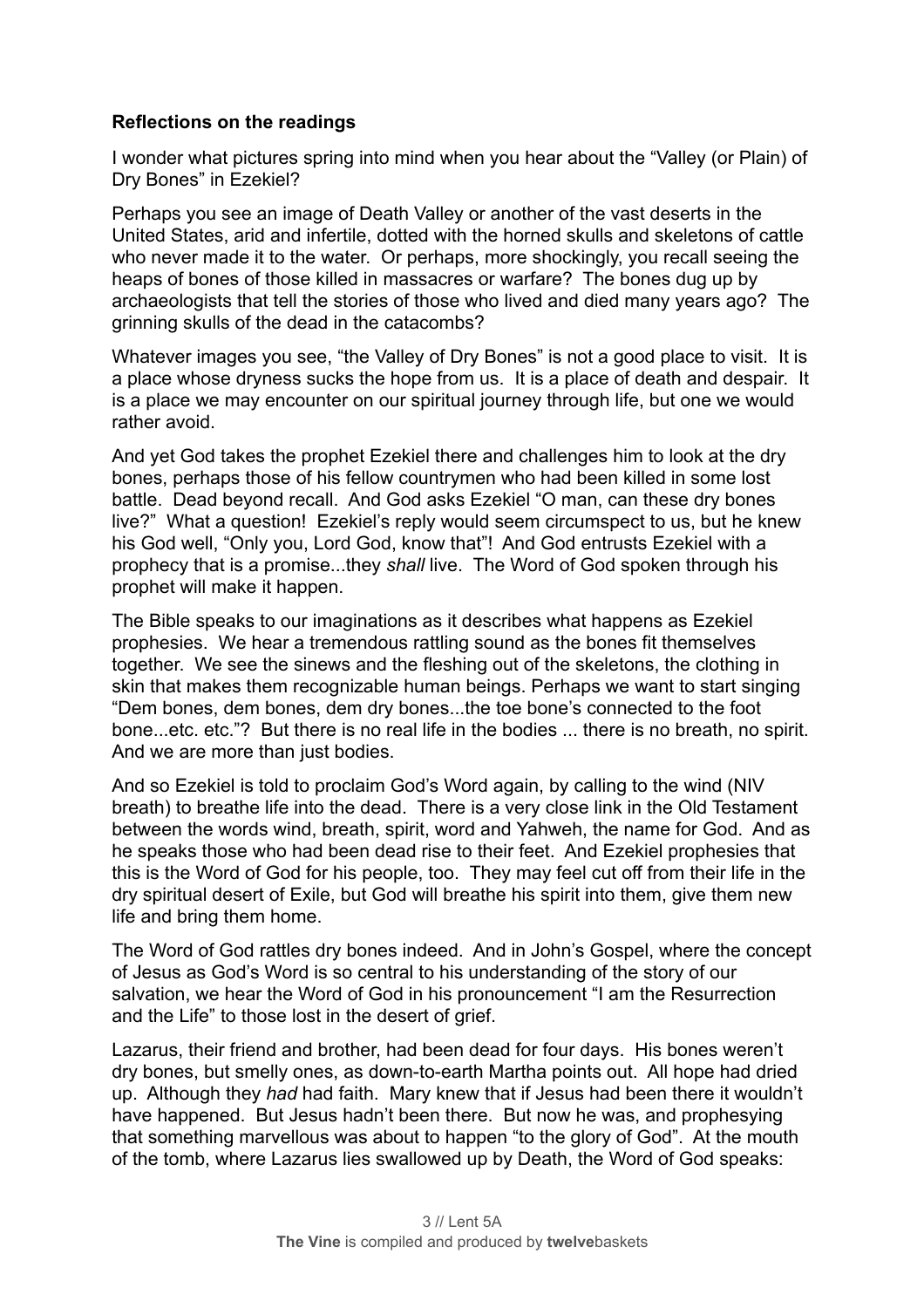#### **Reflections on the readings**

I wonder what pictures spring into mind when you hear about the "Valley (or Plain) of Dry Bones" in Ezekiel?

Perhaps you see an image of Death Valley or another of the vast deserts in the United States, arid and infertile, dotted with the horned skulls and skeletons of cattle who never made it to the water. Or perhaps, more shockingly, you recall seeing the heaps of bones of those killed in massacres or warfare? The bones dug up by archaeologists that tell the stories of those who lived and died many years ago? The grinning skulls of the dead in the catacombs?

Whatever images you see, "the Valley of Dry Bones" is not a good place to visit. It is a place whose dryness sucks the hope from us. It is a place of death and despair. It is a place we may encounter on our spiritual journey through life, but one we would rather avoid.

And yet God takes the prophet Ezekiel there and challenges him to look at the dry bones, perhaps those of his fellow countrymen who had been killed in some lost battle. Dead beyond recall. And God asks Ezekiel "O man, can these dry bones live?" What a question! Ezekiel's reply would seem circumspect to us, but he knew his God well, "Only you, Lord God, know that"! And God entrusts Ezekiel with a prophecy that is a promise...they *shall* live. The Word of God spoken through his prophet will make it happen.

The Bible speaks to our imaginations as it describes what happens as Ezekiel prophesies. We hear a tremendous rattling sound as the bones fit themselves together. We see the sinews and the fleshing out of the skeletons, the clothing in skin that makes them recognizable human beings. Perhaps we want to start singing "Dem bones, dem bones, dem dry bones...the toe bone's connected to the foot bone...etc. etc."? But there is no real life in the bodies ... there is no breath, no spirit. And we are more than just bodies.

And so Ezekiel is told to proclaim God's Word again, by calling to the wind (NIV breath) to breathe life into the dead. There is a very close link in the Old Testament between the words wind, breath, spirit, word and Yahweh, the name for God. And as he speaks those who had been dead rise to their feet. And Ezekiel prophesies that this is the Word of God for his people, too. They may feel cut off from their life in the dry spiritual desert of Exile, but God will breathe his spirit into them, give them new life and bring them home.

The Word of God rattles dry bones indeed. And in John's Gospel, where the concept of Jesus as God's Word is so central to his understanding of the story of our salvation, we hear the Word of God in his pronouncement "I am the Resurrection and the Life" to those lost in the desert of grief.

Lazarus, their friend and brother, had been dead for four days. His bones weren't dry bones, but smelly ones, as down-to-earth Martha points out. All hope had dried up. Although they *had* had faith. Mary knew that if Jesus had been there it wouldn't have happened. But Jesus hadn't been there. But now he was, and prophesying that something marvellous was about to happen "to the glory of God". At the mouth of the tomb, where Lazarus lies swallowed up by Death, the Word of God speaks: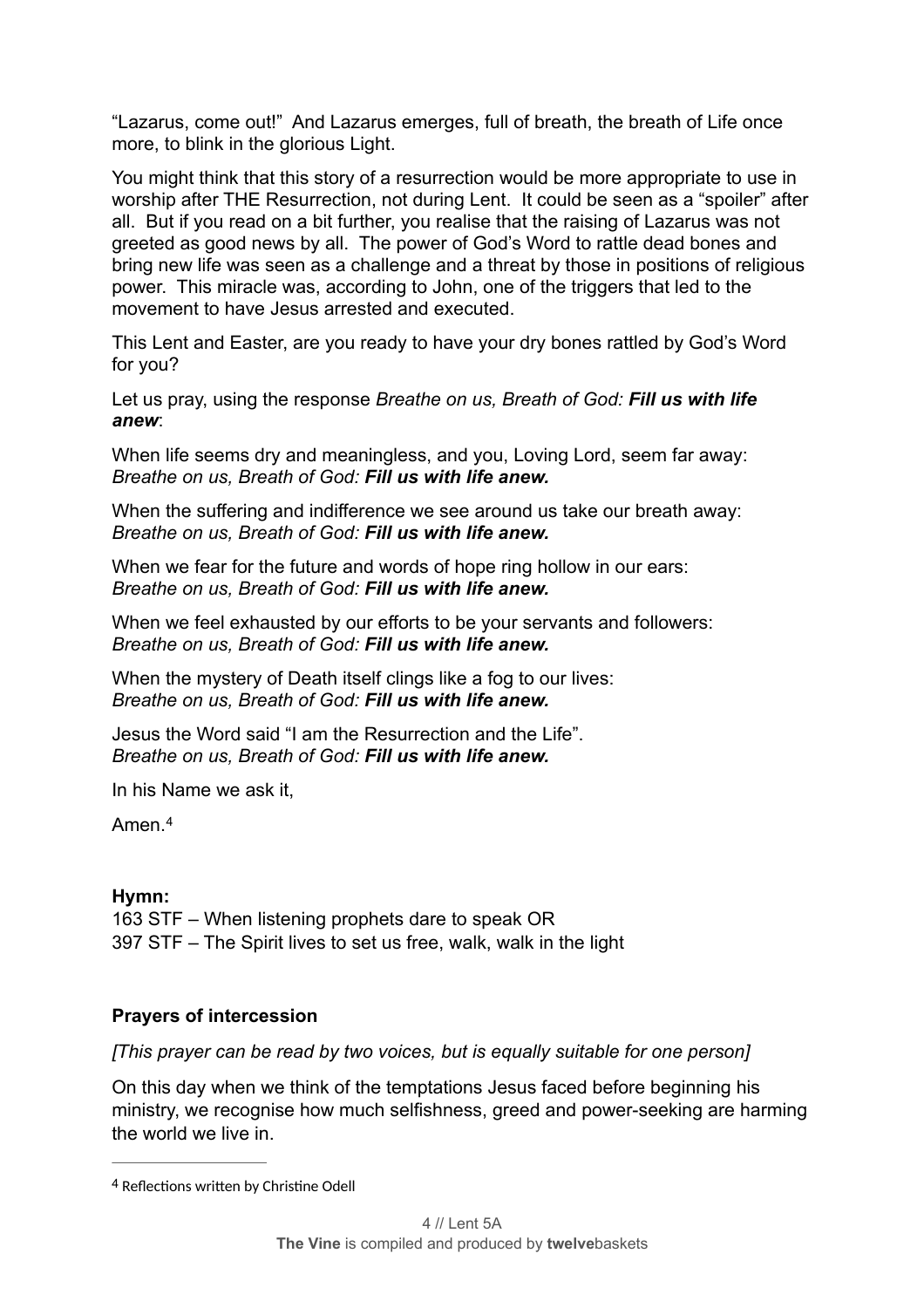"Lazarus, come out!" And Lazarus emerges, full of breath, the breath of Life once more, to blink in the glorious Light.

You might think that this story of a resurrection would be more appropriate to use in worship after THE Resurrection, not during Lent. It could be seen as a "spoiler" after all. But if you read on a bit further, you realise that the raising of Lazarus was not greeted as good news by all. The power of God's Word to rattle dead bones and bring new life was seen as a challenge and a threat by those in positions of religious power. This miracle was, according to John, one of the triggers that led to the movement to have Jesus arrested and executed.

This Lent and Easter, are you ready to have your dry bones rattled by God's Word for you?

Let us pray, using the response *Breathe on us, Breath of God: Fill us with life anew*:

When life seems dry and meaningless, and you, Loving Lord, seem far away: *Breathe on us, Breath of God: Fill us with life anew.* 

When the suffering and indifference we see around us take our breath away: *Breathe on us, Breath of God: Fill us with life anew.* 

When we fear for the future and words of hope ring hollow in our ears: *Breathe on us, Breath of God: Fill us with life anew.* 

When we feel exhausted by our efforts to be your servants and followers: *Breathe on us, Breath of God: Fill us with life anew.* 

When the mystery of Death itself clings like a fog to our lives: *Breathe on us, Breath of God: Fill us with life anew.* 

Jesus the Word said "I am the Resurrection and the Life". *Breathe on us, Breath of God: Fill us with life anew.* 

In his Name we ask it,

<span id="page-6-1"></span>Amen.[4](#page-6-0)

#### **Hymn:**

163 STF – When listening prophets dare to speak OR 397 STF – The Spirit lives to set us free, walk, walk in the light

#### **Prayers of intercession**

*[This prayer can be read by two voices, but is equally suitable for one person]* 

On this day when we think of the temptations Jesus faced before beginning his ministry, we recognise how much selfishness, greed and power-seeking are harming the world we live in.

<span id="page-6-0"></span>[<sup>4</sup>](#page-6-1) Reflections written by Christine Odell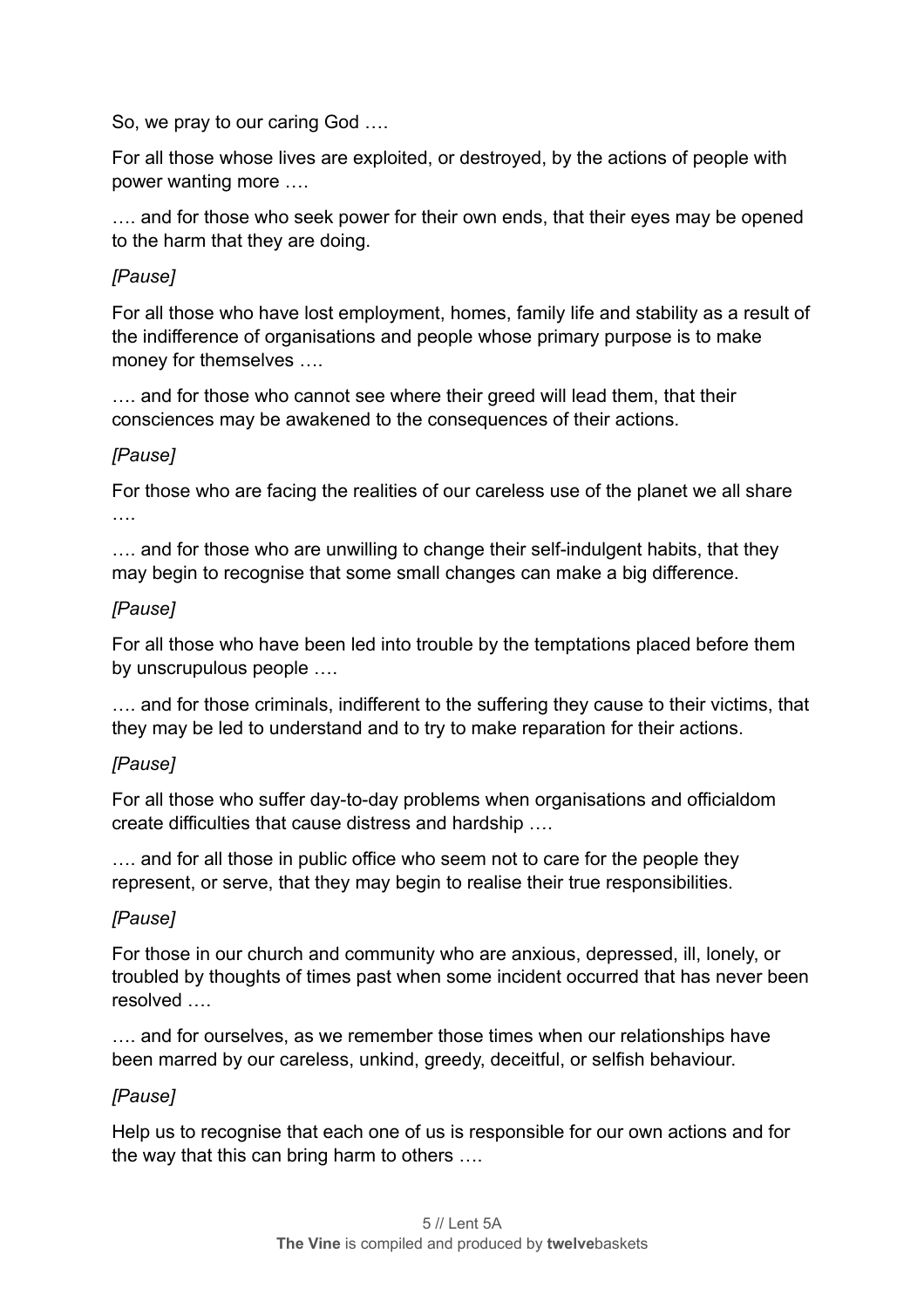So, we pray to our caring God ….

For all those whose lives are exploited, or destroyed, by the actions of people with power wanting more ….

…. and for those who seek power for their own ends, that their eyes may be opened to the harm that they are doing.

#### *[Pause]*

For all those who have lost employment, homes, family life and stability as a result of the indifference of organisations and people whose primary purpose is to make money for themselves ….

.... and for those who cannot see where their greed will lead them, that their consciences may be awakened to the consequences of their actions.

#### *[Pause]*

For those who are facing the realities of our careless use of the planet we all share ….

…. and for those who are unwilling to change their self-indulgent habits, that they may begin to recognise that some small changes can make a big difference.

#### *[Pause]*

For all those who have been led into trouble by the temptations placed before them by unscrupulous people ….

…. and for those criminals, indifferent to the suffering they cause to their victims, that they may be led to understand and to try to make reparation for their actions.

#### *[Pause]*

For all those who suffer day-to-day problems when organisations and officialdom create difficulties that cause distress and hardship ….

…. and for all those in public office who seem not to care for the people they represent, or serve, that they may begin to realise their true responsibilities.

#### *[Pause]*

For those in our church and community who are anxious, depressed, ill, lonely, or troubled by thoughts of times past when some incident occurred that has never been resolved

…. and for ourselves, as we remember those times when our relationships have been marred by our careless, unkind, greedy, deceitful, or selfish behaviour.

#### *[Pause]*

Help us to recognise that each one of us is responsible for our own actions and for the way that this can bring harm to others ….